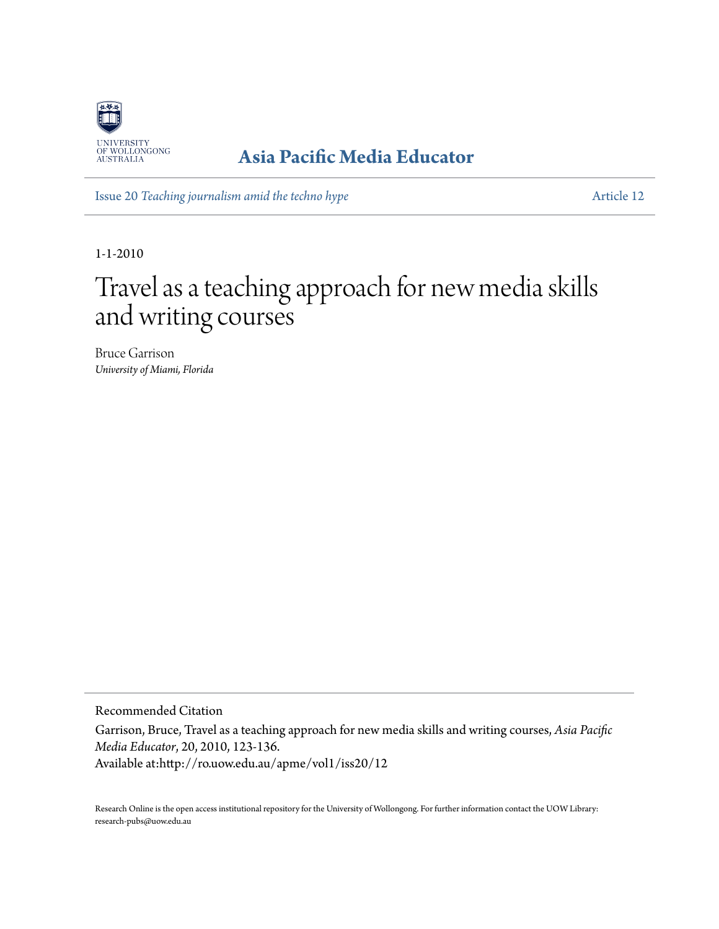

## **[Asia Pacific Media Educator](http://ro.uow.edu.au/apme)**

Issue 20 *[Teaching journalism amid the techno hype](http://ro.uow.edu.au/apme/vol1/iss20)* [Article 12](http://ro.uow.edu.au/apme/vol1/iss20/12)

1-1-2010

# Travel as a teaching approach for new media skills and writing courses

Bruce Garrison *University of Miami, Florida*

Recommended Citation

Garrison, Bruce, Travel as a teaching approach for new media skills and writing courses, *Asia Pacific Media Educator*, 20, 2010, 123-136. Available at:http://ro.uow.edu.au/apme/vol1/iss20/12

Research Online is the open access institutional repository for the University of Wollongong. For further information contact the UOW Library: research-pubs@uow.edu.au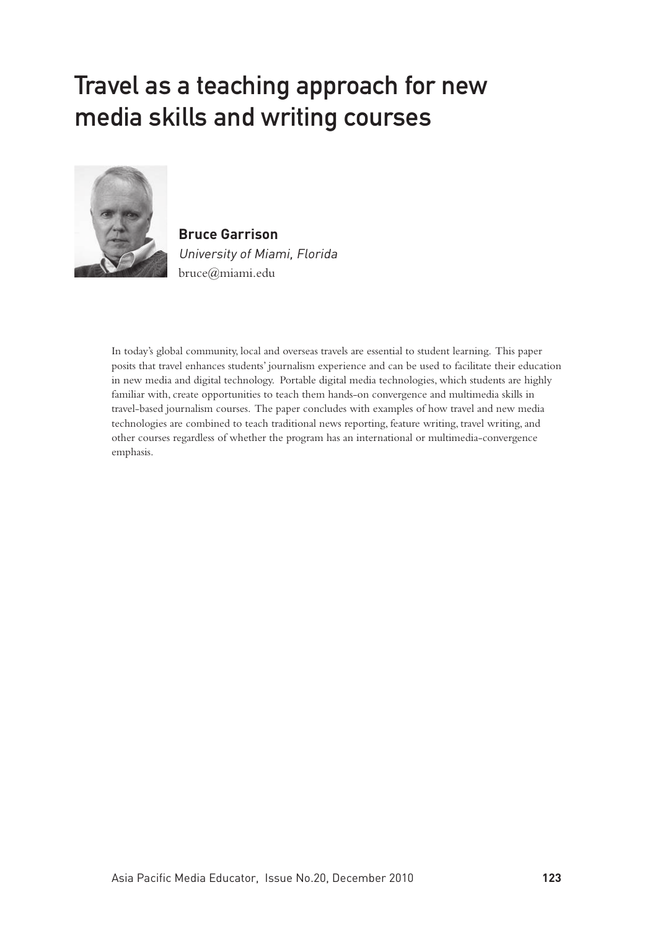# Travel as a teaching approach for new media skills and writing courses



**Bruce Garrison** University of Miami, Florida bruce@miami.edu

In today's global community, local and overseas travels are essential to student learning. This paper posits that travel enhances students' journalism experience and can be used to facilitate their education in new media and digital technology. Portable digital media technologies, which students are highly familiar with, create opportunities to teach them hands-on convergence and multimedia skills in travel-based journalism courses. The paper concludes with examples of how travel and new media technologies are combined to teach traditional news reporting, feature writing, travel writing, and other courses regardless of whether the program has an international or multimedia-convergence emphasis.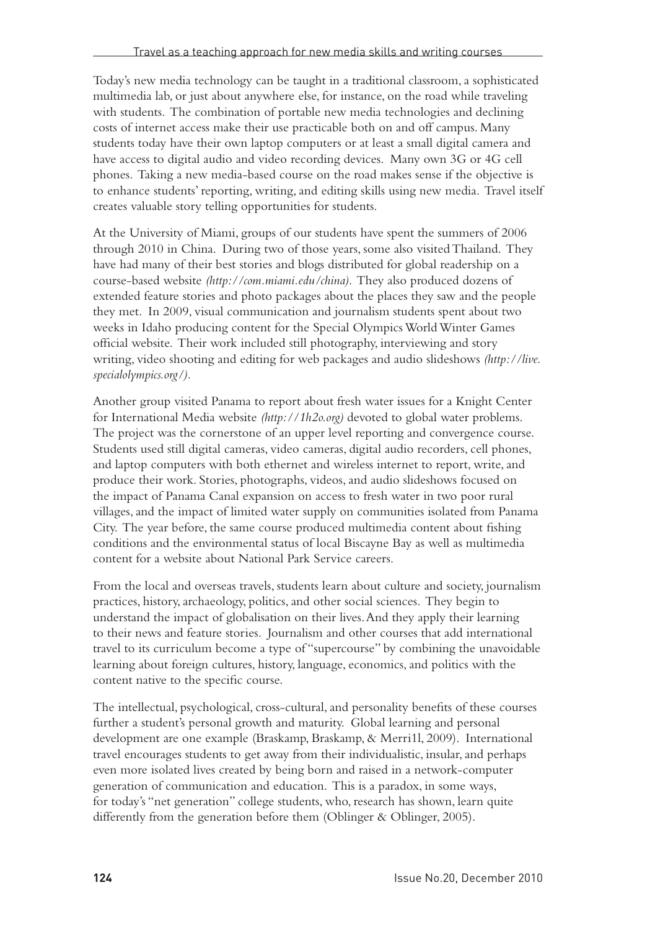Today's new media technology can be taught in a traditional classroom, a sophisticated multimedia lab, or just about anywhere else, for instance, on the road while traveling with students. The combination of portable new media technologies and declining costs of internet access make their use practicable both on and off campus. Many students today have their own laptop computers or at least a small digital camera and have access to digital audio and video recording devices. Many own 3G or 4G cell phones. Taking a new media-based course on the road makes sense if the objective is to enhance students' reporting, writing, and editing skills using new media. Travel itself creates valuable story telling opportunities for students.

At the University of Miami, groups of our students have spent the summers of 2006 through 2010 in China. During two of those years, some also visited Thailand. They have had many of their best stories and blogs distributed for global readership on a course-based website *(http://com.miami.edu/china)*. They also produced dozens of extended feature stories and photo packages about the places they saw and the people they met. In 2009, visual communication and journalism students spent about two weeks in Idaho producing content for the Special Olympics World Winter Games official website. Their work included still photography, interviewing and story writing, video shooting and editing for web packages and audio slideshows *(http://live. specialolympics.org/).* 

Another group visited Panama to report about fresh water issues for a Knight Center for International Media website *(http://1h2o.org)* devoted to global water problems. The project was the cornerstone of an upper level reporting and convergence course. Students used still digital cameras, video cameras, digital audio recorders, cell phones, and laptop computers with both ethernet and wireless internet to report, write, and produce their work. Stories, photographs, videos, and audio slideshows focused on the impact of Panama Canal expansion on access to fresh water in two poor rural villages, and the impact of limited water supply on communities isolated from Panama City. The year before, the same course produced multimedia content about fishing conditions and the environmental status of local Biscayne Bay as well as multimedia content for a website about National Park Service careers.

From the local and overseas travels, students learn about culture and society, journalism practices, history, archaeology, politics, and other social sciences. They begin to understand the impact of globalisation on their lives. And they apply their learning to their news and feature stories. Journalism and other courses that add international travel to its curriculum become a type of "supercourse" by combining the unavoidable learning about foreign cultures, history, language, economics, and politics with the content native to the specific course.

The intellectual, psychological, cross-cultural, and personality benefits of these courses further a student's personal growth and maturity. Global learning and personal development are one example (Braskamp, Braskamp, & Merri1l, 2009). International travel encourages students to get away from their individualistic, insular, and perhaps even more isolated lives created by being born and raised in a network-computer generation of communication and education. This is a paradox, in some ways, for today's "net generation" college students, who, research has shown, learn quite differently from the generation before them (Oblinger & Oblinger, 2005).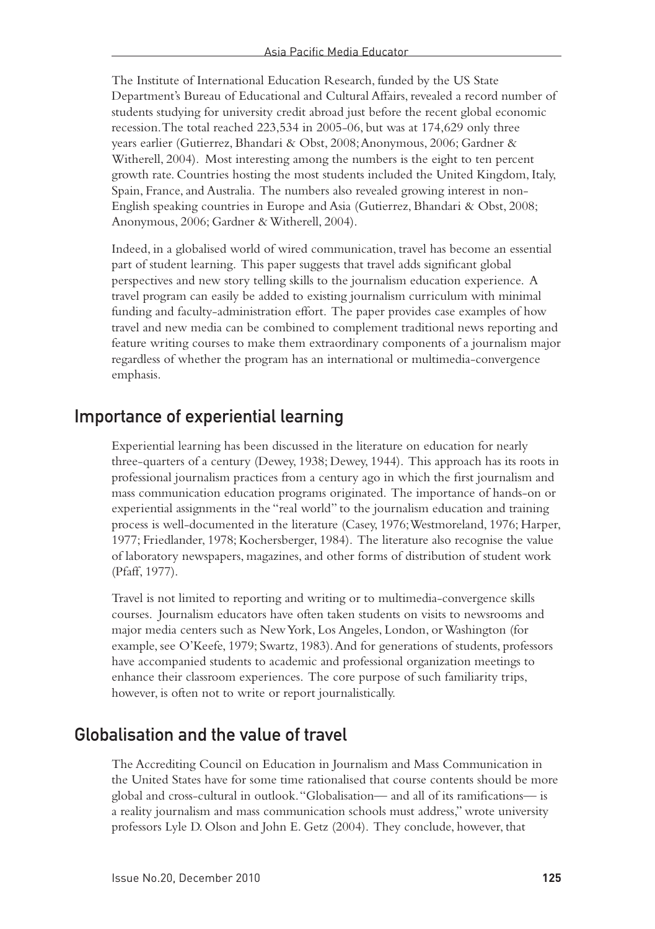The Institute of International Education Research, funded by the US State Department's Bureau of Educational and Cultural Affairs, revealed a record number of students studying for university credit abroad just before the recent global economic recession. The total reached 223,534 in 2005-06, but was at 174,629 only three years earlier (Gutierrez, Bhandari & Obst, 2008; Anonymous, 2006; Gardner & Witherell, 2004). Most interesting among the numbers is the eight to ten percent growth rate. Countries hosting the most students included the United Kingdom, Italy, Spain, France, and Australia. The numbers also revealed growing interest in non-English speaking countries in Europe and Asia (Gutierrez, Bhandari & Obst, 2008; Anonymous, 2006; Gardner & Witherell, 2004).

Indeed, in a globalised world of wired communication, travel has become an essential part of student learning. This paper suggests that travel adds significant global perspectives and new story telling skills to the journalism education experience. A travel program can easily be added to existing journalism curriculum with minimal funding and faculty-administration effort. The paper provides case examples of how travel and new media can be combined to complement traditional news reporting and feature writing courses to make them extraordinary components of a journalism major regardless of whether the program has an international or multimedia-convergence emphasis.

#### Importance of experiential learning

Experiential learning has been discussed in the literature on education for nearly three-quarters of a century (Dewey, 1938; Dewey, 1944). This approach has its roots in professional journalism practices from a century ago in which the first journalism and mass communication education programs originated. The importance of hands-on or experiential assignments in the "real world" to the journalism education and training process is well-documented in the literature (Casey, 1976; Westmoreland, 1976; Harper, 1977; Friedlander, 1978; Kochersberger, 1984). The literature also recognise the value of laboratory newspapers, magazines, and other forms of distribution of student work (Pfaff, 1977).

Travel is not limited to reporting and writing or to multimedia-convergence skills courses. Journalism educators have often taken students on visits to newsrooms and major media centers such as New York, Los Angeles, London, or Washington (for example, see O'Keefe, 1979; Swartz, 1983). And for generations of students, professors have accompanied students to academic and professional organization meetings to enhance their classroom experiences. The core purpose of such familiarity trips, however, is often not to write or report journalistically.

#### Globalisation and the value of travel

The Accrediting Council on Education in Journalism and Mass Communication in the United States have for some time rationalised that course contents should be more global and cross-cultural in outlook. "Globalisation— and all of its ramifications— is a reality journalism and mass communication schools must address," wrote university professors Lyle D. Olson and John E. Getz (2004). They conclude, however, that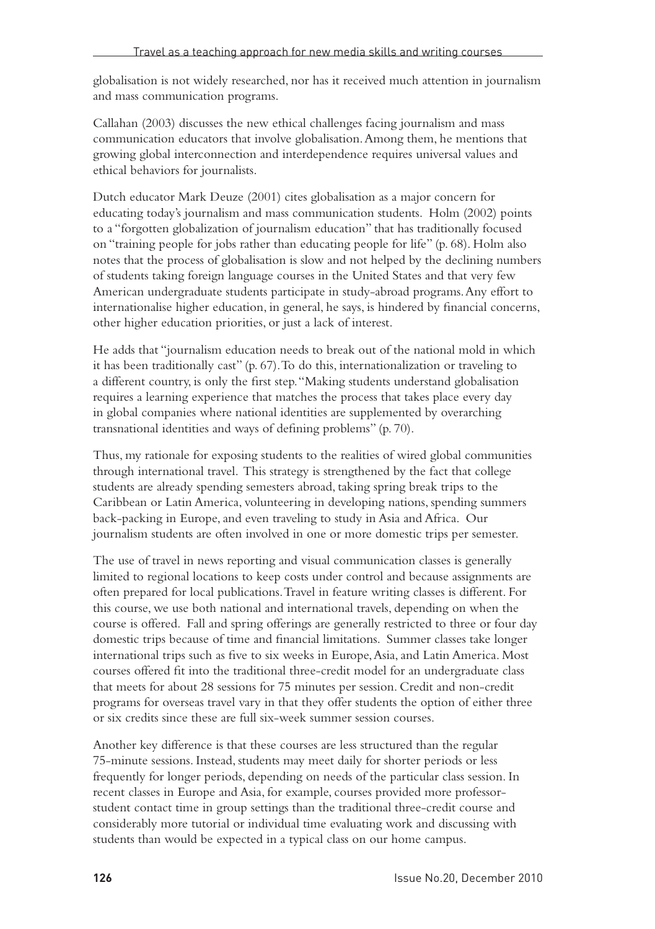globalisation is not widely researched, nor has it received much attention in journalism and mass communication programs.

Callahan (2003) discusses the new ethical challenges facing journalism and mass communication educators that involve globalisation. Among them, he mentions that growing global interconnection and interdependence requires universal values and ethical behaviors for journalists.

Dutch educator Mark Deuze (2001) cites globalisation as a major concern for educating today's journalism and mass communication students. Holm (2002) points to a "forgotten globalization of journalism education" that has traditionally focused on "training people for jobs rather than educating people for life" (p. 68). Holm also notes that the process of globalisation is slow and not helped by the declining numbers of students taking foreign language courses in the United States and that very few American undergraduate students participate in study-abroad programs. Any effort to internationalise higher education, in general, he says, is hindered by financial concerns, other higher education priorities, or just a lack of interest.

He adds that "journalism education needs to break out of the national mold in which it has been traditionally cast" (p. 67). To do this, internationalization or traveling to a different country, is only the first step. "Making students understand globalisation requires a learning experience that matches the process that takes place every day in global companies where national identities are supplemented by overarching transnational identities and ways of defining problems" (p. 70).

Thus, my rationale for exposing students to the realities of wired global communities through international travel. This strategy is strengthened by the fact that college students are already spending semesters abroad, taking spring break trips to the Caribbean or Latin America, volunteering in developing nations, spending summers back-packing in Europe, and even traveling to study in Asia and Africa. Our journalism students are often involved in one or more domestic trips per semester.

The use of travel in news reporting and visual communication classes is generally limited to regional locations to keep costs under control and because assignments are often prepared for local publications. Travel in feature writing classes is different. For this course, we use both national and international travels, depending on when the course is offered. Fall and spring offerings are generally restricted to three or four day domestic trips because of time and financial limitations. Summer classes take longer international trips such as five to six weeks in Europe, Asia, and Latin America. Most courses offered fit into the traditional three-credit model for an undergraduate class that meets for about 28 sessions for 75 minutes per session. Credit and non-credit programs for overseas travel vary in that they offer students the option of either three or six credits since these are full six-week summer session courses.

Another key difference is that these courses are less structured than the regular 75-minute sessions. Instead, students may meet daily for shorter periods or less frequently for longer periods, depending on needs of the particular class session. In recent classes in Europe and Asia, for example, courses provided more professorstudent contact time in group settings than the traditional three-credit course and considerably more tutorial or individual time evaluating work and discussing with students than would be expected in a typical class on our home campus.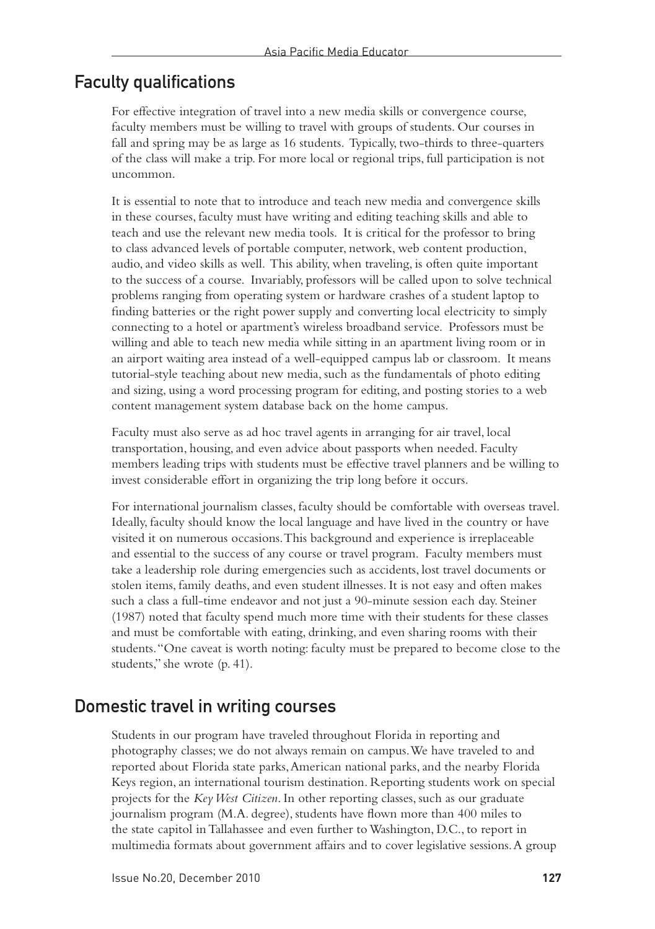#### Faculty qualifications

For effective integration of travel into a new media skills or convergence course, faculty members must be willing to travel with groups of students. Our courses in fall and spring may be as large as 16 students. Typically, two-thirds to three-quarters of the class will make a trip. For more local or regional trips, full participation is not uncommon.

It is essential to note that to introduce and teach new media and convergence skills in these courses, faculty must have writing and editing teaching skills and able to teach and use the relevant new media tools. It is critical for the professor to bring to class advanced levels of portable computer, network, web content production, audio, and video skills as well. This ability, when traveling, is often quite important to the success of a course. Invariably, professors will be called upon to solve technical problems ranging from operating system or hardware crashes of a student laptop to finding batteries or the right power supply and converting local electricity to simply connecting to a hotel or apartment's wireless broadband service. Professors must be willing and able to teach new media while sitting in an apartment living room or in an airport waiting area instead of a well-equipped campus lab or classroom. It means tutorial-style teaching about new media, such as the fundamentals of photo editing and sizing, using a word processing program for editing, and posting stories to a web content management system database back on the home campus.

Faculty must also serve as ad hoc travel agents in arranging for air travel, local transportation, housing, and even advice about passports when needed. Faculty members leading trips with students must be effective travel planners and be willing to invest considerable effort in organizing the trip long before it occurs.

For international journalism classes, faculty should be comfortable with overseas travel. Ideally, faculty should know the local language and have lived in the country or have visited it on numerous occasions. This background and experience is irreplaceable and essential to the success of any course or travel program. Faculty members must take a leadership role during emergencies such as accidents, lost travel documents or stolen items, family deaths, and even student illnesses. It is not easy and often makes such a class a full-time endeavor and not just a 90-minute session each day. Steiner (1987) noted that faculty spend much more time with their students for these classes and must be comfortable with eating, drinking, and even sharing rooms with their students. "One caveat is worth noting: faculty must be prepared to become close to the students," she wrote (p. 41).

#### Domestic travel in writing courses

Students in our program have traveled throughout Florida in reporting and photography classes; we do not always remain on campus. We have traveled to and reported about Florida state parks, American national parks, and the nearby Florida Keys region, an international tourism destination. Reporting students work on special projects for the *Key West Citizen*. In other reporting classes, such as our graduate journalism program (M.A. degree), students have flown more than 400 miles to the state capitol in Tallahassee and even further to Washington, D.C., to report in multimedia formats about government affairs and to cover legislative sessions. A group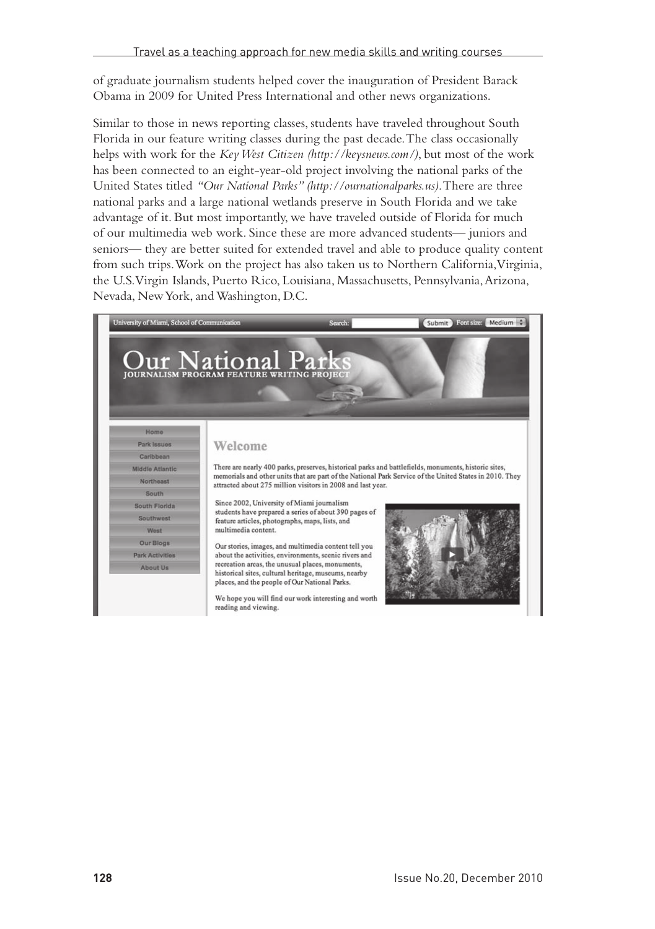of graduate journalism students helped cover the inauguration of President Barack Obama in 2009 for United Press International and other news organizations.

Similar to those in news reporting classes, students have traveled throughout South Florida in our feature writing classes during the past decade. The class occasionally helps with work for the *Key West Citizen (http://keysnews.com/)*, but most of the work has been connected to an eight-year-old project involving the national parks of the United States titled *"Our National Parks" (http://ournationalparks.us)*. There are three national parks and a large national wetlands preserve in South Florida and we take advantage of it. But most importantly, we have traveled outside of Florida for much of our multimedia web work. Since these are more advanced students— juniors and seniors— they are better suited for extended travel and able to produce quality content from such trips. Work on the project has also taken us to Northern California, Virginia, the U.S. Virgin Islands, Puerto Rico, Louisiana, Massachusetts, Pennsylvania, Arizona, Nevada, New York, and Washington, D.C.

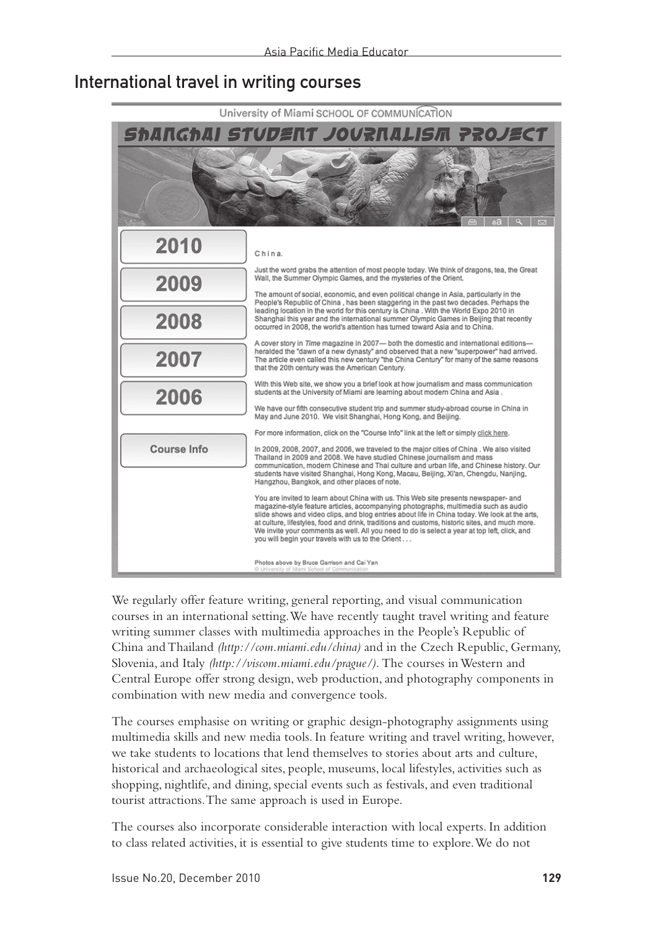#### International travel in writing courses



We regularly offer feature writing, general reporting, and visual communication courses in an international setting. We have recently taught travel writing and feature writing summer classes with multimedia approaches in the People's Republic of China and Thailand *(http://com.miami.edu/china)* and in the Czech Republic, Germany, Slovenia, and Italy *(http://viscom.miami.edu/prague/).* The courses in Western and Central Europe offer strong design, web production, and photography components in combination with new media and convergence tools.

The courses emphasise on writing or graphic design-photography assignments using multimedia skills and new media tools. In feature writing and travel writing, however, we take students to locations that lend themselves to stories about arts and culture, historical and archaeological sites, people, museums, local lifestyles, activities such as shopping, nightlife, and dining, special events such as festivals, and even traditional tourist attractions. The same approach is used in Europe.

The courses also incorporate considerable interaction with local experts. In addition to class related activities, it is essential to give students time to explore. We do not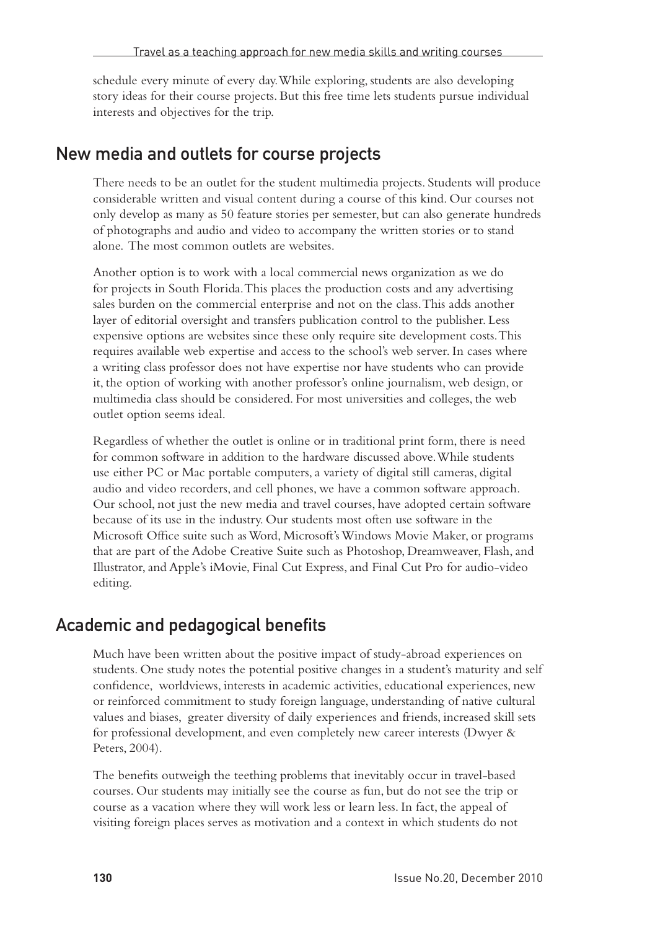schedule every minute of every day. While exploring, students are also developing story ideas for their course projects. But this free time lets students pursue individual interests and objectives for the trip.

#### New media and outlets for course projects

There needs to be an outlet for the student multimedia projects. Students will produce considerable written and visual content during a course of this kind. Our courses not only develop as many as 50 feature stories per semester, but can also generate hundreds of photographs and audio and video to accompany the written stories or to stand alone. The most common outlets are websites.

Another option is to work with a local commercial news organization as we do for projects in South Florida. This places the production costs and any advertising sales burden on the commercial enterprise and not on the class. This adds another layer of editorial oversight and transfers publication control to the publisher. Less expensive options are websites since these only require site development costs. This requires available web expertise and access to the school's web server. In cases where a writing class professor does not have expertise nor have students who can provide it, the option of working with another professor's online journalism, web design, or multimedia class should be considered. For most universities and colleges, the web outlet option seems ideal.

Regardless of whether the outlet is online or in traditional print form, there is need for common software in addition to the hardware discussed above. While students use either PC or Mac portable computers, a variety of digital still cameras, digital audio and video recorders, and cell phones, we have a common software approach. Our school, not just the new media and travel courses, have adopted certain software because of its use in the industry. Our students most often use software in the Microsoft Office suite such as Word, Microsoft's Windows Movie Maker, or programs that are part of the Adobe Creative Suite such as Photoshop, Dreamweaver, Flash, and Illustrator, and Apple's iMovie, Final Cut Express, and Final Cut Pro for audio-video editing.

#### Academic and pedagogical benefits

Much have been written about the positive impact of study-abroad experiences on students. One study notes the potential positive changes in a student's maturity and self confidence, worldviews, interests in academic activities, educational experiences, new or reinforced commitment to study foreign language, understanding of native cultural values and biases, greater diversity of daily experiences and friends, increased skill sets for professional development, and even completely new career interests (Dwyer & Peters, 2004).

The benefits outweigh the teething problems that inevitably occur in travel-based courses. Our students may initially see the course as fun, but do not see the trip or course as a vacation where they will work less or learn less. In fact, the appeal of visiting foreign places serves as motivation and a context in which students do not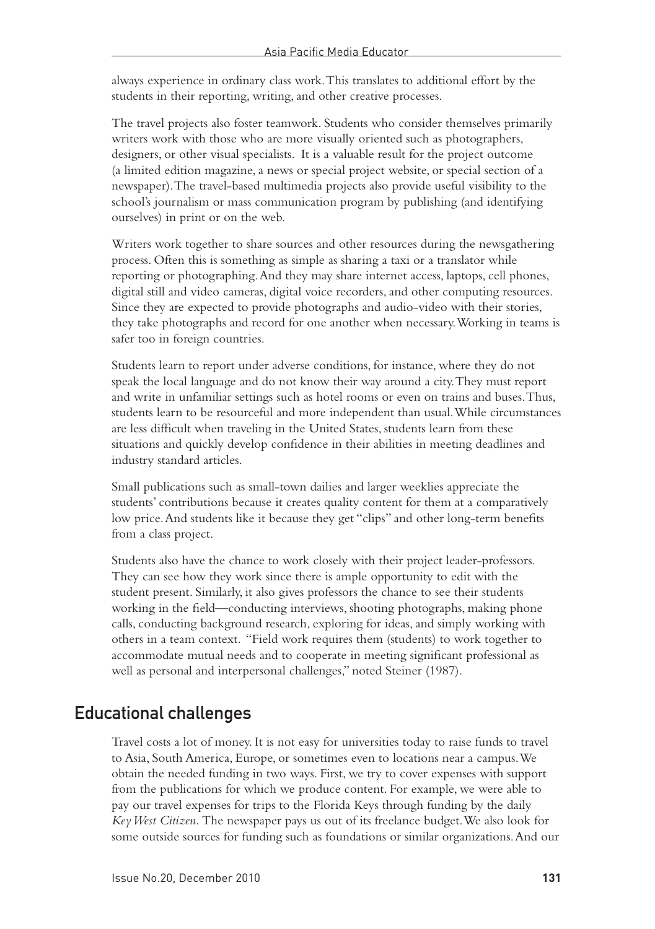always experience in ordinary class work. This translates to additional effort by the students in their reporting, writing, and other creative processes.

The travel projects also foster teamwork. Students who consider themselves primarily writers work with those who are more visually oriented such as photographers, designers, or other visual specialists. It is a valuable result for the project outcome (a limited edition magazine, a news or special project website, or special section of a newspaper). The travel-based multimedia projects also provide useful visibility to the school's journalism or mass communication program by publishing (and identifying ourselves) in print or on the web.

Writers work together to share sources and other resources during the newsgathering process. Often this is something as simple as sharing a taxi or a translator while reporting or photographing. And they may share internet access, laptops, cell phones, digital still and video cameras, digital voice recorders, and other computing resources. Since they are expected to provide photographs and audio-video with their stories, they take photographs and record for one another when necessary. Working in teams is safer too in foreign countries.

Students learn to report under adverse conditions, for instance, where they do not speak the local language and do not know their way around a city. They must report and write in unfamiliar settings such as hotel rooms or even on trains and buses. Thus, students learn to be resourceful and more independent than usual. While circumstances are less difficult when traveling in the United States, students learn from these situations and quickly develop confidence in their abilities in meeting deadlines and industry standard articles.

Small publications such as small-town dailies and larger weeklies appreciate the students' contributions because it creates quality content for them at a comparatively low price. And students like it because they get "clips" and other long-term benefits from a class project.

Students also have the chance to work closely with their project leader-professors. They can see how they work since there is ample opportunity to edit with the student present. Similarly, it also gives professors the chance to see their students working in the field—conducting interviews, shooting photographs, making phone calls, conducting background research, exploring for ideas, and simply working with others in a team context. "Field work requires them (students) to work together to accommodate mutual needs and to cooperate in meeting significant professional as well as personal and interpersonal challenges," noted Steiner (1987).

#### Educational challenges

Travel costs a lot of money. It is not easy for universities today to raise funds to travel to Asia, South America, Europe, or sometimes even to locations near a campus. We obtain the needed funding in two ways. First, we try to cover expenses with support from the publications for which we produce content. For example, we were able to pay our travel expenses for trips to the Florida Keys through funding by the daily *Key West Citizen.* The newspaper pays us out of its freelance budget. We also look for some outside sources for funding such as foundations or similar organizations. And our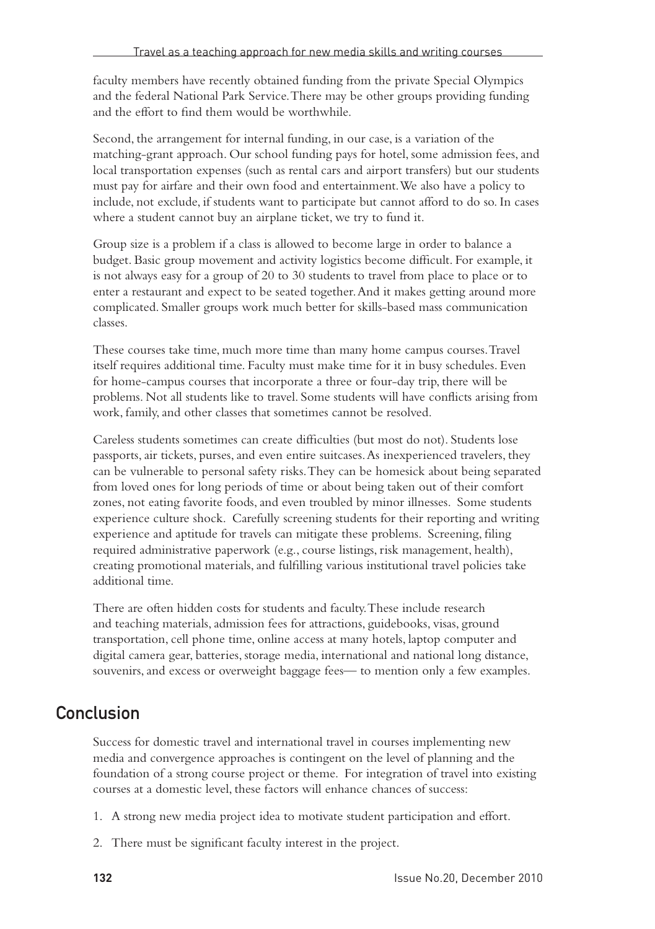faculty members have recently obtained funding from the private Special Olympics and the federal National Park Service. There may be other groups providing funding and the effort to find them would be worthwhile.

Second, the arrangement for internal funding, in our case, is a variation of the matching-grant approach. Our school funding pays for hotel, some admission fees, and local transportation expenses (such as rental cars and airport transfers) but our students must pay for airfare and their own food and entertainment. We also have a policy to include, not exclude, if students want to participate but cannot afford to do so. In cases where a student cannot buy an airplane ticket, we try to fund it.

Group size is a problem if a class is allowed to become large in order to balance a budget. Basic group movement and activity logistics become difficult. For example, it is not always easy for a group of 20 to 30 students to travel from place to place or to enter a restaurant and expect to be seated together. And it makes getting around more complicated. Smaller groups work much better for skills-based mass communication classes.

These courses take time, much more time than many home campus courses. Travel itself requires additional time. Faculty must make time for it in busy schedules. Even for home-campus courses that incorporate a three or four-day trip, there will be problems. Not all students like to travel. Some students will have conflicts arising from work, family, and other classes that sometimes cannot be resolved.

Careless students sometimes can create difficulties (but most do not). Students lose passports, air tickets, purses, and even entire suitcases. As inexperienced travelers, they can be vulnerable to personal safety risks. They can be homesick about being separated from loved ones for long periods of time or about being taken out of their comfort zones, not eating favorite foods, and even troubled by minor illnesses. Some students experience culture shock. Carefully screening students for their reporting and writing experience and aptitude for travels can mitigate these problems. Screening, filing required administrative paperwork (e.g., course listings, risk management, health), creating promotional materials, and fulfilling various institutional travel policies take additional time.

There are often hidden costs for students and faculty. These include research and teaching materials, admission fees for attractions, guidebooks, visas, ground transportation, cell phone time, online access at many hotels, laptop computer and digital camera gear, batteries, storage media, international and national long distance, souvenirs, and excess or overweight baggage fees— to mention only a few examples.

### Conclusion

Success for domestic travel and international travel in courses implementing new media and convergence approaches is contingent on the level of planning and the foundation of a strong course project or theme. For integration of travel into existing courses at a domestic level, these factors will enhance chances of success:

- 1. A strong new media project idea to motivate student participation and effort.
- 2. There must be significant faculty interest in the project.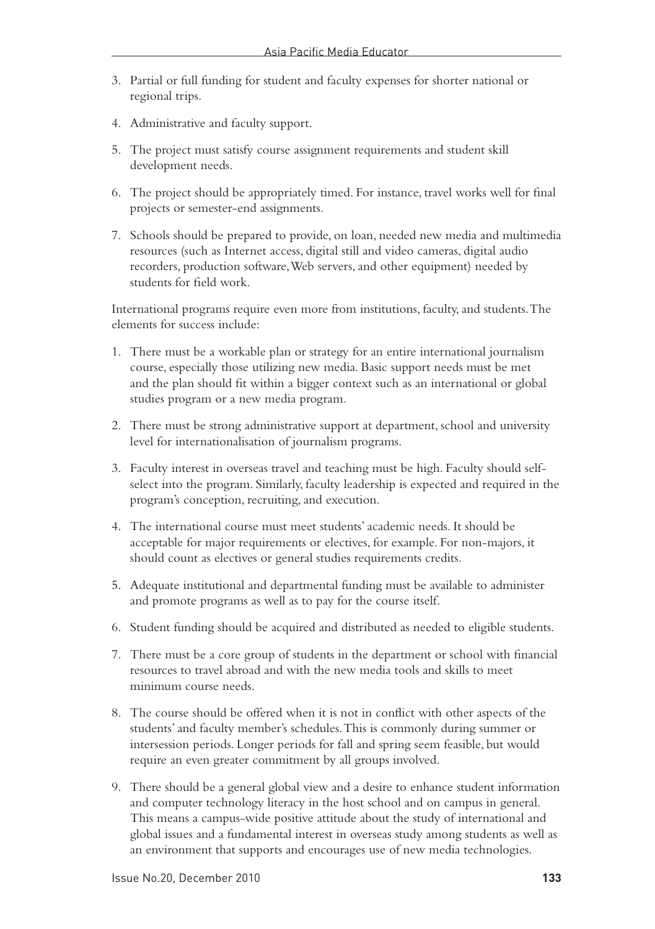- 3. Partial or full funding for student and faculty expenses for shorter national or regional trips.
- 4. Administrative and faculty support.
- 5. The project must satisfy course assignment requirements and student skill development needs.
- 6. The project should be appropriately timed. For instance, travel works well for final projects or semester-end assignments.
- 7. Schools should be prepared to provide, on loan, needed new media and multimedia resources (such as Internet access, digital still and video cameras, digital audio recorders, production software, Web servers, and other equipment) needed by students for field work.

International programs require even more from institutions, faculty, and students. The elements for success include:

- 1. There must be a workable plan or strategy for an entire international journalism course, especially those utilizing new media. Basic support needs must be met and the plan should fit within a bigger context such as an international or global studies program or a new media program.
- 2. There must be strong administrative support at department, school and university level for internationalisation of journalism programs.
- 3. Faculty interest in overseas travel and teaching must be high. Faculty should selfselect into the program. Similarly, faculty leadership is expected and required in the program's conception, recruiting, and execution.
- 4. The international course must meet students' academic needs. It should be acceptable for major requirements or electives, for example. For non-majors, it should count as electives or general studies requirements credits.
- 5. Adequate institutional and departmental funding must be available to administer and promote programs as well as to pay for the course itself.
- 6. Student funding should be acquired and distributed as needed to eligible students.
- 7. There must be a core group of students in the department or school with financial resources to travel abroad and with the new media tools and skills to meet minimum course needs.
- 8. The course should be offered when it is not in conflict with other aspects of the students' and faculty member's schedules. This is commonly during summer or intersession periods. Longer periods for fall and spring seem feasible, but would require an even greater commitment by all groups involved.
- 9. There should be a general global view and a desire to enhance student information and computer technology literacy in the host school and on campus in general. This means a campus-wide positive attitude about the study of international and global issues and a fundamental interest in overseas study among students as well as an environment that supports and encourages use of new media technologies.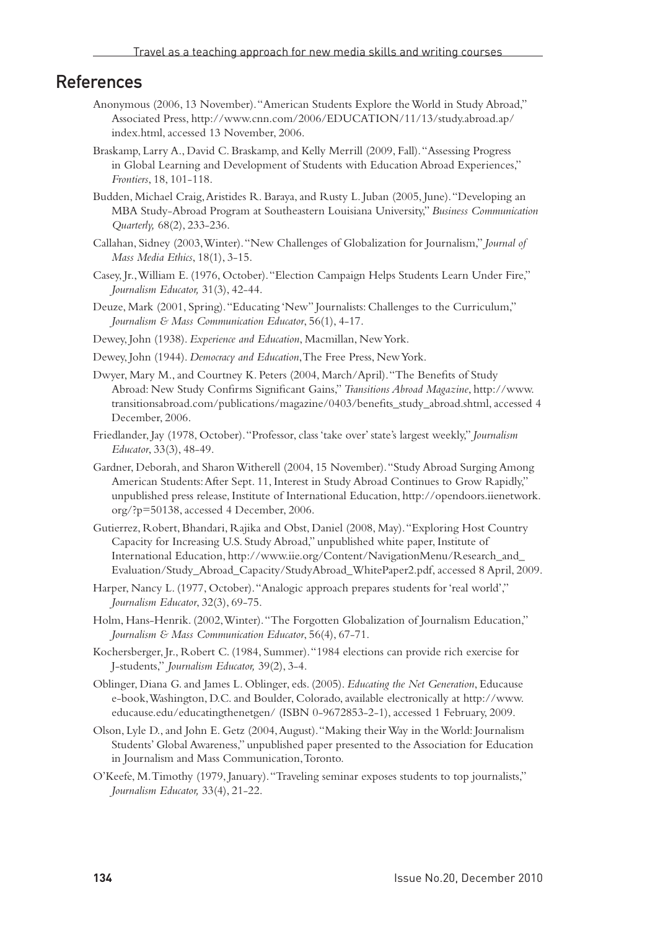#### **References**

- Anonymous (2006, 13 November). "American Students Explore the World in Study Abroad," Associated Press, http://www.cnn.com/2006/EDUCATION/11/13/study.abroad.ap/ index.html, accessed 13 November, 2006.
- Braskamp, Larry A., David C. Braskamp, and Kelly Merrill (2009, Fall). "Assessing Progress in Global Learning and Development of Students with Education Abroad Experiences," *Frontiers*, 18, 101-118.
- Budden, Michael Craig, Aristides R. Baraya, and Rusty L. Juban (2005, June). "Developing an MBA Study-Abroad Program at Southeastern Louisiana University," *Business Communication Quarterly,* 68(2), 233-236.
- Callahan, Sidney (2003, Winter). "New Challenges of Globalization for Journalism," *Journal of Mass Media Ethics*, 18(1), 3-15.
- Casey, Jr., William E. (1976, October). "Election Campaign Helps Students Learn Under Fire," *Journalism Educator,* 31(3), 42-44.
- Deuze, Mark (2001, Spring). "Educating 'New" Journalists: Challenges to the Curriculum," *Journalism & Mass Communication Educator*, 56(1), 4-17.
- Dewey, John (1938). *Experience and Education*, Macmillan, New York.
- Dewey, John (1944). *Democracy and Education*, The Free Press, New York.
- Dwyer, Mary M., and Courtney K. Peters (2004, March/April). "The Benefits of Study Abroad: New Study Confirms Significant Gains," *Transitions Abroad Magazine*, http://www. transitionsabroad.com/publications/magazine/0403/benefits\_study\_abroad.shtml, accessed 4 December, 2006.
- Friedlander, Jay (1978, October). "Professor, class 'take over' state's largest weekly," *Journalism Educator*, 33(3), 48-49.
- Gardner, Deborah, and Sharon Witherell (2004, 15 November). "Study Abroad Surging Among American Students: After Sept. 11, Interest in Study Abroad Continues to Grow Rapidly," unpublished press release, Institute of International Education, http://opendoors.iienetwork. org/?p=50138, accessed 4 December, 2006.
- Gutierrez, Robert, Bhandari, Rajika and Obst, Daniel (2008, May). "Exploring Host Country Capacity for Increasing U.S. Study Abroad," unpublished white paper, Institute of International Education, http://www.iie.org/Content/NavigationMenu/Research\_and\_ Evaluation/Study\_Abroad\_Capacity/StudyAbroad\_WhitePaper2.pdf, accessed 8 April, 2009.
- Harper, Nancy L. (1977, October). "Analogic approach prepares students for 'real world'," *Journalism Educator*, 32(3), 69-75.
- Holm, Hans-Henrik. (2002, Winter). "The Forgotten Globalization of Journalism Education," *Journalism & Mass Communication Educator*, 56(4), 67-71.
- Kochersberger, Jr., Robert C. (1984, Summer). "1984 elections can provide rich exercise for J-students," *Journalism Educator,* 39(2), 3-4.
- Oblinger, Diana G. and James L. Oblinger, eds. (2005). *Educating the Net Generation*, Educause e-book, Washington, D.C. and Boulder, Colorado, available electronically at http://www. educause.edu/educatingthenetgen/ (ISBN 0-9672853-2-1), accessed 1 February, 2009.
- Olson, Lyle D., and John E. Getz (2004, August). "Making their Way in the World: Journalism Students' Global Awareness," unpublished paper presented to the Association for Education in Journalism and Mass Communication, Toronto.
- O'Keefe, M. Timothy (1979, January). "Traveling seminar exposes students to top journalists," *Journalism Educator,* 33(4), 21-22.